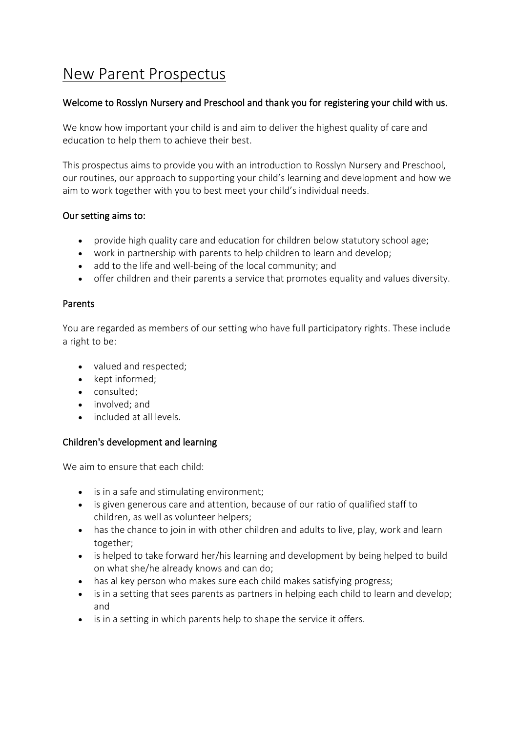# [New Parent Prospectus](https://rosslynnurseryandpreschool.com/prospectus/new-parent-prospectus-1-2/)

## Welcome to Rosslyn Nursery and Preschool and thank you for registering your child with us.

We know how important your child is and aim to deliver the highest quality of care and education to help them to achieve their best.

This prospectus aims to provide you with an introduction to Rosslyn Nursery and Preschool, our routines, our approach to supporting your child's learning and development and how we aim to work together with you to best meet your child's individual needs.

#### Our setting aims to:

- provide high quality care and education for children below statutory school age;
- work in partnership with parents to help children to learn and develop;
- add to the life and well-being of the local community; and
- offer children and their parents a service that promotes equality and values diversity.

#### Parents

You are regarded as members of our setting who have full participatory rights. These include a right to be:

- valued and respected;
- kept informed:
- consulted;
- involved; and
- included at all levels.

## Children's development and learning

We aim to ensure that each child:

- is in a safe and stimulating environment;
- is given generous care and attention, because of our ratio of qualified staff to children, as well as volunteer helpers;
- has the chance to join in with other children and adults to live, play, work and learn together;
- is helped to take forward her/his learning and development by being helped to build on what she/he already knows and can do;
- has al key person who makes sure each child makes satisfying progress;
- is in a setting that sees parents as partners in helping each child to learn and develop; and
- is in a setting in which parents help to shape the service it offers.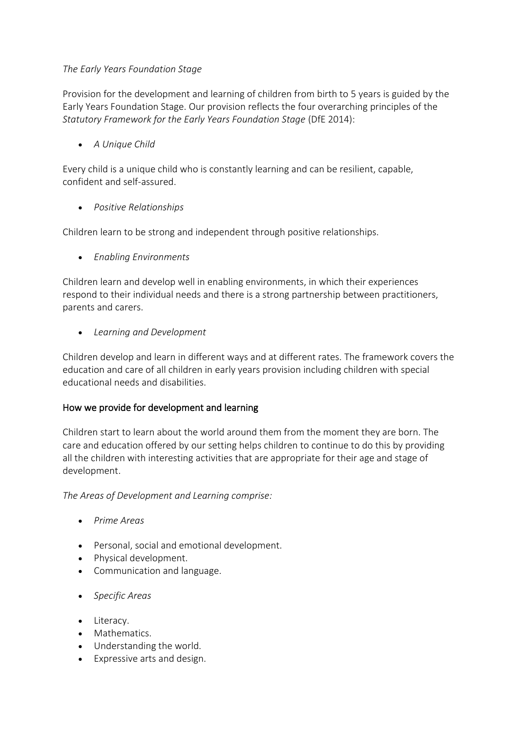## *The Early Years Foundation Stage*

Provision for the development and learning of children from birth to 5 years is guided by the Early Years Foundation Stage. Our provision reflects the four overarching principles of the *Statutory Framework for the Early Years Foundation Stage* (DfE 2014):

• *A Unique Child*

Every child is a unique child who is constantly learning and can be resilient, capable, confident and self-assured.

• *Positive Relationships*

Children learn to be strong and independent through positive relationships.

• *Enabling Environments*

Children learn and develop well in enabling environments, in which their experiences respond to their individual needs and there is a strong partnership between practitioners, parents and carers.

• *Learning and Development*

Children develop and learn in different ways and at different rates. The framework covers the education and care of all children in early years provision including children with special educational needs and disabilities.

## How we provide for development and learning

Children start to learn about the world around them from the moment they are born. The care and education offered by our setting helps children to continue to do this by providing all the children with interesting activities that are appropriate for their age and stage of development.

*The Areas of Development and Learning comprise:*

- *Prime Areas*
- Personal, social and emotional development.
- Physical development.
- Communication and language.
- *Specific Areas*
- Literacy.
- Mathematics.
- Understanding the world.
- Expressive arts and design.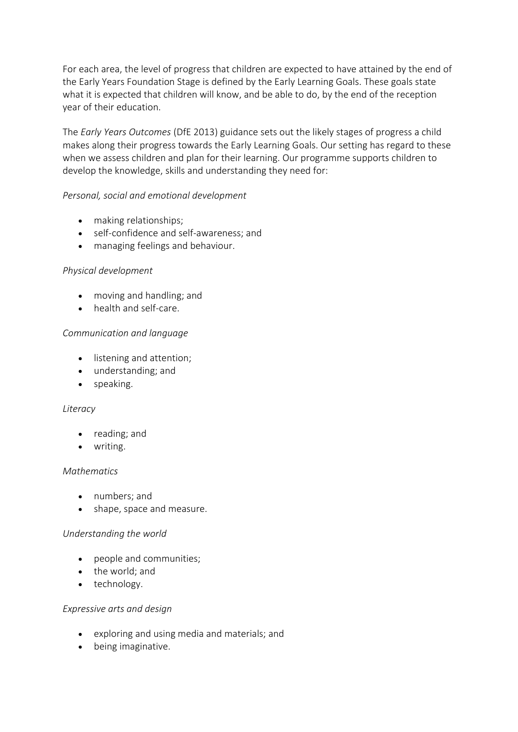For each area, the level of progress that children are expected to have attained by the end of the Early Years Foundation Stage is defined by the Early Learning Goals. These goals state what it is expected that children will know, and be able to do, by the end of the reception year of their education.

The *Early Years Outcomes* (DfE 2013) guidance sets out the likely stages of progress a child makes along their progress towards the Early Learning Goals. Our setting has regard to these when we assess children and plan for their learning. Our programme supports children to develop the knowledge, skills and understanding they need for:

## *Personal, social and emotional development*

- making relationships;
- self-confidence and self-awareness; and
- managing feelings and behaviour.

#### *Physical development*

- moving and handling; and
- health and self-care.

#### *Communication and language*

- listening and attention;
- understanding; and
- speaking.

#### *Literacy*

- reading; and
- writing.

#### *Mathematics*

- numbers; and
- shape, space and measure.

#### *Understanding the world*

- people and communities;
- the world; and
- technology.

#### *Expressive arts and design*

- exploring and using media and materials; and
- being imaginative.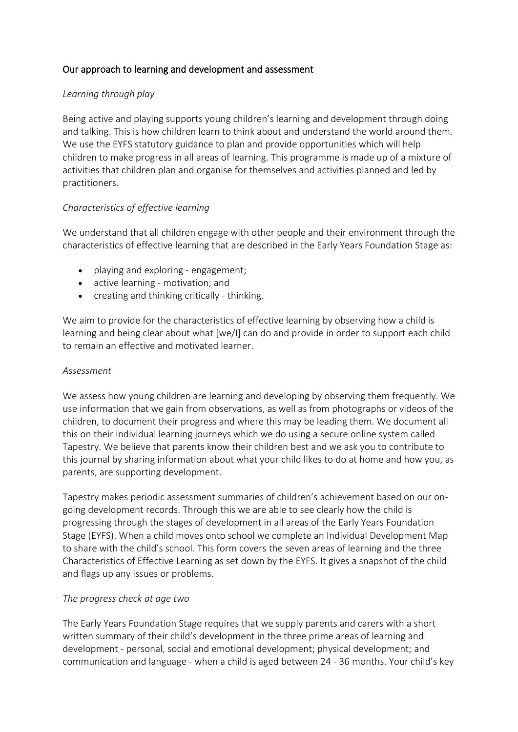# Our approach to learning and development and assessment

### *Learning through play*

Being active and playing supports young children's learning and development through doing and talking. This is how children learn to think about and understand the world around them. We use the EYFS statutory guidance to plan and provide opportunities which will help children to make progress in all areas of learning. This programme is made up of a mixture of activities that children plan and organise for themselves and activities planned and led by practitioners.

## *Characteristics of effective learning*

We understand that all children engage with other people and their environment through the characteristics of effective learning that are described in the Early Years Foundation Stage as:

- playing and exploring engagement;
- active learning motivation; and
- creating and thinking critically thinking.

We aim to provide for the characteristics of effective learning by observing how a child is learning and being clear about what [we/I] can do and provide in order to support each child to remain an effective and motivated learner.

#### *Assessment*

We assess how young children are learning and developing by observing them frequently. We use information that we gain from observations, as well as from photographs or videos of the children, to document their progress and where this may be leading them. We document all this on their individual learning journeys which we do using a secure online system called Tapestry. We believe that parents know their children best and we ask you to contribute to this journal by sharing information about what your child likes to do at home and how you, as parents, are supporting development.

Tapestry makes periodic assessment summaries of children's achievement based on our ongoing development records. Through this we are able to see clearly how the child is progressing through the stages of development in all areas of the Early Years Foundation Stage (EYFS). When a child moves onto school we complete an Individual Development Map to share with the child's school. This form covers the seven areas of learning and the three Characteristics of Effective Learning as set down by the EYFS. It gives a snapshot of the child and flags up any issues or problems.

#### *The progress check at age two*

The Early Years Foundation Stage requires that we supply parents and carers with a short written summary of their child's development in the three prime areas of learning and development - personal, social and emotional development; physical development; and communication and language - when a child is aged between 24 - 36 months. Your child's key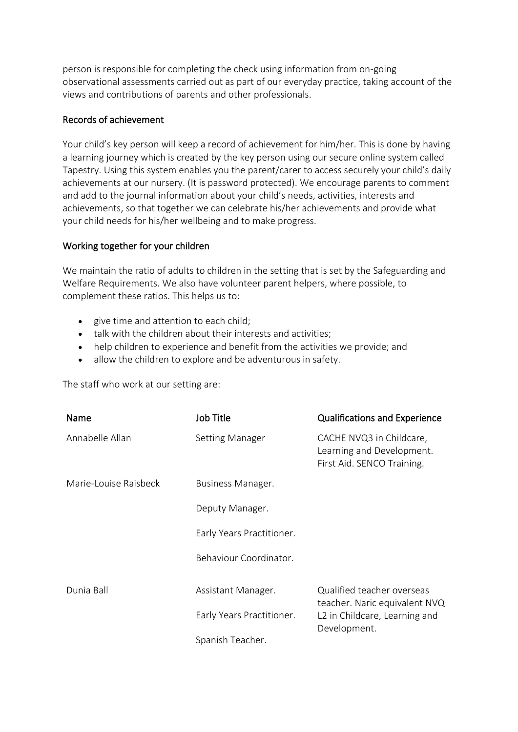person is responsible for completing the check using information from on-going observational assessments carried out as part of our everyday practice, taking account of the views and contributions of parents and other professionals.

#### Records of achievement

Your child's key person will keep a record of achievement for him/her. This is done by having a learning journey which is created by the key person using our secure online system called Tapestry. Using this system enables you the parent/carer to access securely your child's daily achievements at our nursery. (It is password protected). We encourage parents to comment and add to the journal information about your child's needs, activities, interests and achievements, so that together we can celebrate his/her achievements and provide what your child needs for his/her wellbeing and to make progress.

#### Working together for your children

We maintain the ratio of adults to children in the setting that is set by the Safeguarding and Welfare Requirements. We also have volunteer parent helpers, where possible, to complement these ratios. This helps us to:

- give time and attention to each child;
- talk with the children about their interests and activities;
- help children to experience and benefit from the activities we provide; and
- allow the children to explore and be adventurous in safety.

The staff who work at our setting are:

| Name                  | Job Title                 | <b>Qualifications and Experience</b>                                                |
|-----------------------|---------------------------|-------------------------------------------------------------------------------------|
| Annabelle Allan       | <b>Setting Manager</b>    | CACHE NVQ3 in Childcare,<br>Learning and Development.<br>First Aid. SENCO Training. |
| Marie-Louise Raisbeck | Business Manager.         |                                                                                     |
|                       | Deputy Manager.           |                                                                                     |
|                       | Early Years Practitioner. |                                                                                     |
|                       | Behaviour Coordinator.    |                                                                                     |
| Dunia Ball            | Assistant Manager.        | Qualified teacher overseas<br>teacher. Naric equivalent NVQ                         |
|                       | Early Years Practitioner. | L2 in Childcare, Learning and<br>Development.                                       |
|                       | Spanish Teacher.          |                                                                                     |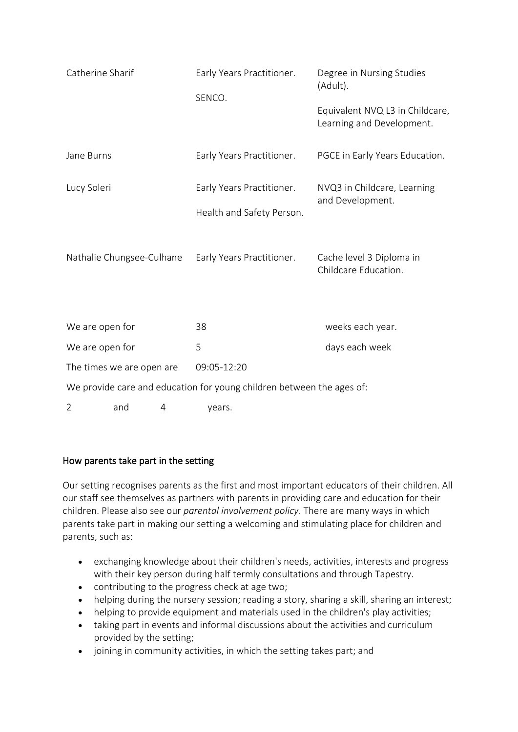| Catherine Sharif                                                      |     |             | Early Years Practitioner.<br>SENCO.                                                 |                | Degree in Nursing Studies<br>(Adult).<br>Equivalent NVQ L3 in Childcare,<br>Learning and Development. |  |
|-----------------------------------------------------------------------|-----|-------------|-------------------------------------------------------------------------------------|----------------|-------------------------------------------------------------------------------------------------------|--|
| Jane Burns                                                            |     |             | Early Years Practitioner.                                                           |                | PGCE in Early Years Education.                                                                        |  |
| Lucy Soleri<br>Nathalie Chungsee-Culhane                              |     |             | Early Years Practitioner.<br>Health and Safety Person.<br>Early Years Practitioner. |                | NVQ3 in Childcare, Learning<br>and Development.<br>Cache level 3 Diploma in<br>Childcare Education.   |  |
| We are open for                                                       |     |             | 38                                                                                  |                | weeks each year.                                                                                      |  |
| We are open for                                                       |     | 5           |                                                                                     | days each week |                                                                                                       |  |
| The times we are open are                                             |     | 09:05-12:20 |                                                                                     |                |                                                                                                       |  |
| We provide care and education for young children between the ages of: |     |             |                                                                                     |                |                                                                                                       |  |
| $\overline{2}$                                                        | and | 4           | years.                                                                              |                |                                                                                                       |  |

## How parents take part in the setting

Our setting recognises parents as the first and most important educators of their children. All our staff see themselves as partners with parents in providing care and education for their children. Please also see our *parental involvement policy*. There are many ways in which parents take part in making our setting a welcoming and stimulating place for children and parents, such as:

- exchanging knowledge about their children's needs, activities, interests and progress with their key person during half termly consultations and through Tapestry.
- contributing to the progress check at age two;
- helping during the nursery session; reading a story, sharing a skill, sharing an interest;
- helping to provide equipment and materials used in the children's play activities;
- taking part in events and informal discussions about the activities and curriculum provided by the setting;
- joining in community activities, in which the setting takes part; and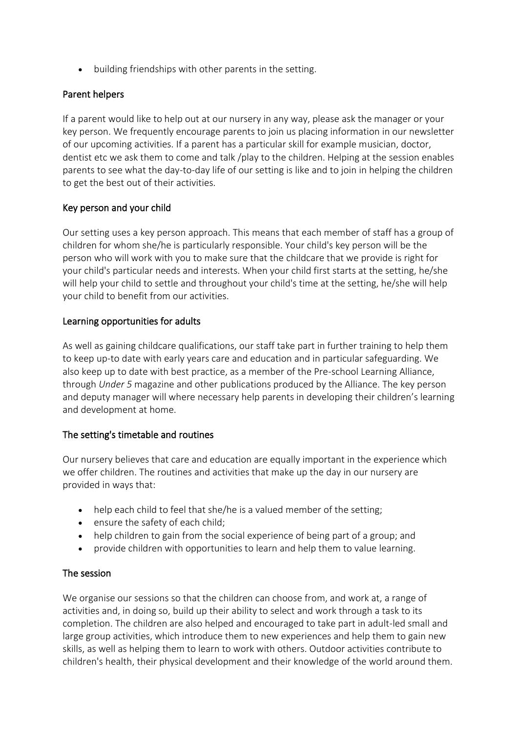• building friendships with other parents in the setting.

# Parent helpers

If a parent would like to help out at our nursery in any way, please ask the manager or your key person. We frequently encourage parents to join us placing information in our newsletter of our upcoming activities. If a parent has a particular skill for example musician, doctor, dentist etc we ask them to come and talk /play to the children. Helping at the session enables parents to see what the day-to-day life of our setting is like and to join in helping the children to get the best out of their activities.

# Key person and your child

Our setting uses a key person approach. This means that each member of staff has a group of children for whom she/he is particularly responsible. Your child's key person will be the person who will work with you to make sure that the childcare that we provide is right for your child's particular needs and interests. When your child first starts at the setting, he/she will help your child to settle and throughout your child's time at the setting, he/she will help your child to benefit from our activities.

## Learning opportunities for adults

As well as gaining childcare qualifications, our staff take part in further training to help them to keep up-to date with early years care and education and in particular safeguarding. We also keep up to date with best practice, as a member of the Pre-school Learning Alliance, through *Under 5* magazine and other publications produced by the Alliance. The key person and deputy manager will where necessary help parents in developing their children's learning and development at home.

# The setting's timetable and routines

Our nursery believes that care and education are equally important in the experience which we offer children. The routines and activities that make up the day in our nursery are provided in ways that:

- help each child to feel that she/he is a valued member of the setting;
- ensure the safety of each child;
- help children to gain from the social experience of being part of a group; and
- provide children with opportunities to learn and help them to value learning.

## The session

We organise our sessions so that the children can choose from, and work at, a range of activities and, in doing so, build up their ability to select and work through a task to its completion. The children are also helped and encouraged to take part in adult-led small and large group activities, which introduce them to new experiences and help them to gain new skills, as well as helping them to learn to work with others. Outdoor activities contribute to children's health, their physical development and their knowledge of the world around them.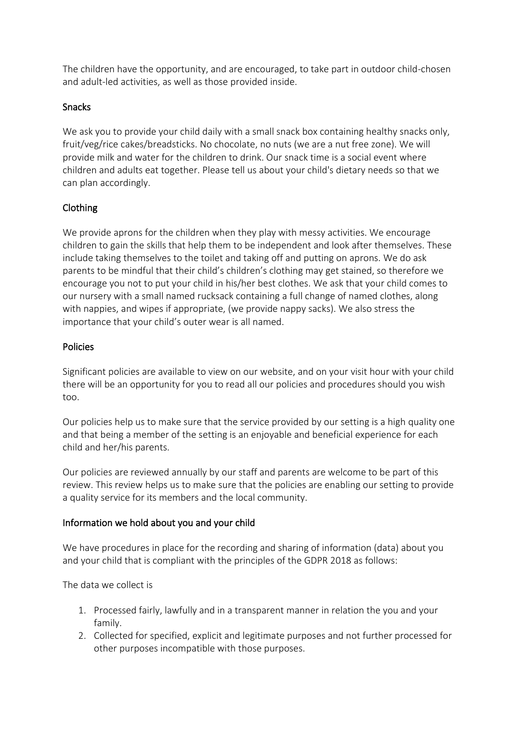The children have the opportunity, and are encouraged, to take part in outdoor child-chosen and adult-led activities, as well as those provided inside.

## Snacks

We ask you to provide your child daily with a small snack box containing healthy snacks only. fruit/veg/rice cakes/breadsticks. No chocolate, no nuts (we are a nut free zone). We will provide milk and water for the children to drink. Our snack time is a social event where children and adults eat together. Please tell us about your child's dietary needs so that we can plan accordingly.

# Clothing

We provide aprons for the children when they play with messy activities. We encourage children to gain the skills that help them to be independent and look after themselves. These include taking themselves to the toilet and taking off and putting on aprons. We do ask parents to be mindful that their child's children's clothing may get stained, so therefore we encourage you not to put your child in his/her best clothes. We ask that your child comes to our nursery with a small named rucksack containing a full change of named clothes, along with nappies, and wipes if appropriate, (we provide nappy sacks). We also stress the importance that your child's outer wear is all named.

## Policies

Significant policies are available to view on our website, and on your visit hour with your child there will be an opportunity for you to read all our policies and procedures should you wish too.

Our policies help us to make sure that the service provided by our setting is a high quality one and that being a member of the setting is an enjoyable and beneficial experience for each child and her/his parents.

Our policies are reviewed annually by our staff and parents are welcome to be part of this review. This review helps us to make sure that the policies are enabling our setting to provide a quality service for its members and the local community.

## Information we hold about you and your child

We have procedures in place for the recording and sharing of information (data) about you and your child that is compliant with the principles of the GDPR 2018 as follows:

The data we collect is

- 1. Processed fairly, lawfully and in a transparent manner in relation the you and your family.
- 2. Collected for specified, explicit and legitimate purposes and not further processed for other purposes incompatible with those purposes.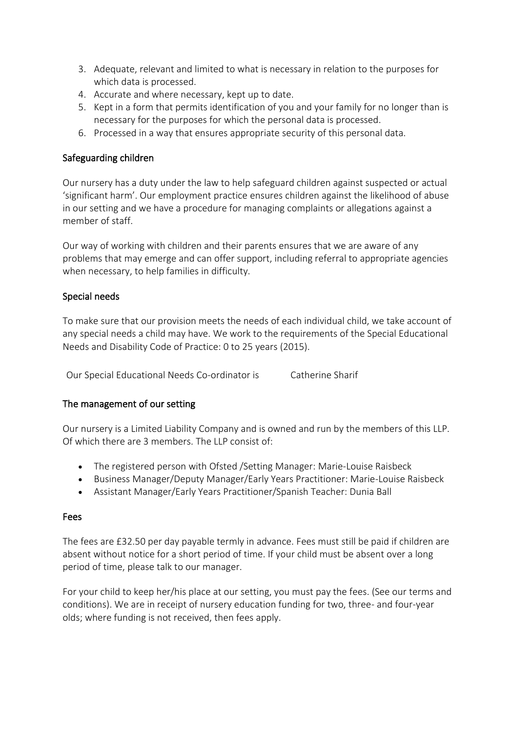- 3. Adequate, relevant and limited to what is necessary in relation to the purposes for which data is processed.
- 4. Accurate and where necessary, kept up to date.
- 5. Kept in a form that permits identification of you and your family for no longer than is necessary for the purposes for which the personal data is processed.
- 6. Processed in a way that ensures appropriate security of this personal data.

# Safeguarding children

Our nursery has a duty under the law to help safeguard children against suspected or actual 'significant harm'. Our employment practice ensures children against the likelihood of abuse in our setting and we have a procedure for managing complaints or allegations against a member of staff.

Our way of working with children and their parents ensures that we are aware of any problems that may emerge and can offer support, including referral to appropriate agencies when necessary, to help families in difficulty.

## Special needs

To make sure that our provision meets the needs of each individual child, we take account of any special needs a child may have. We work to the requirements of the Special Educational Needs and Disability Code of Practice: 0 to 25 years (2015).

Our Special Educational Needs Co-ordinator is Catherine Sharif

## The management of our setting

Our nursery is a Limited Liability Company and is owned and run by the members of this LLP. Of which there are 3 members. The LLP consist of:

- The registered person with Ofsted /Setting Manager: Marie-Louise Raisbeck
- Business Manager/Deputy Manager/Early Years Practitioner: Marie-Louise Raisbeck
- Assistant Manager/Early Years Practitioner/Spanish Teacher: Dunia Ball

## Fees

The fees are £32.50 per day payable termly in advance. Fees must still be paid if children are absent without notice for a short period of time. If your child must be absent over a long period of time, please talk to our manager.

For your child to keep her/his place at our setting, you must pay the fees. (See our terms and conditions). We are in receipt of nursery education funding for two, three- and four-year olds; where funding is not received, then fees apply.